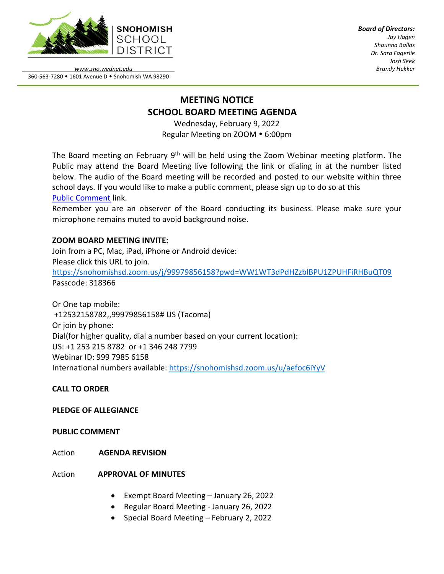

*Board of Directors: Jay Hagen Shaunna Ballas Dr. Sara Fagerlie Josh Seek Brandy Hekker*

*www.sno.wednet.edu* 360-563-7280 • 1601 Avenue D • Snohomish WA 98290

# **MEETING NOTICE SCHOOL BOARD MEETING AGENDA**

Wednesday, February 9, 2022 Regular Meeting on ZOOM . 6:00pm

The Board meeting on February 9<sup>th</sup> will be held using the Zoom Webinar meeting platform. The Public may attend the Board Meeting live following the link or dialing in at the number listed below. The audio of the Board meeting will be recorded and posted to our website within three school days. If you would like to make a public comment, please sign up to do so at this Public [Comment](https://www.sno.wednet.edu/site/Default.aspx?PageID=5004) link.

Remember you are an observer of the Board conducting its business. Please make sure your microphone remains muted to avoid background noise.

## **ZOOM BOARD MEETING INVITE:**

Join from a PC, Mac, iPad, iPhone or Android device: Please click this URL to join. <https://snohomishsd.zoom.us/j/99979856158?pwd=WW1WT3dPdHZzblBPU1ZPUHFiRHBuQT09> Passcode: 318366

Or One tap mobile: +12532158782,,99979856158# US (Tacoma) Or join by phone: Dial(for higher quality, dial a number based on your current location): US: +1 253 215 8782 or +1 346 248 7799 Webinar ID: 999 7985 6158 International numbers available:<https://snohomishsd.zoom.us/u/aefoc6iYyV>

**CALL TO ORDER**

### **PLEDGE OF ALLEGIANCE**

### **PUBLIC COMMENT**

Action **AGENDA REVISION**

### Action **APPROVAL OF MINUTES**

- Exempt Board Meeting January 26, 2022
- Regular Board Meeting January 26, 2022
- Special Board Meeting February 2, 2022